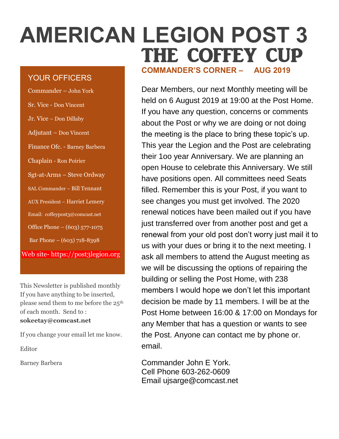# **AMERICAN LEGION POST 3** THE COFFEY CUP

## YOUR OFFICERS

| Commander - John York                 |
|---------------------------------------|
| Sr. Vice - Don Vincent                |
| Jr. Vice – Don Dillaby                |
| Adjutant - Don Vincent                |
| Finance Ofc. - Barney Barbera         |
| Chaplain - Ron Poirier                |
| Sgt-at-Arms – Steve Ordway            |
| SAL Commander - Bill Tennant          |
| <b>AUX President - Harriet Lemery</b> |
| Email: coffeypost3@comcast.net        |
| Office Phone – (603) 577-1075         |
| Bar Phone $- (603)$ 718-8398          |
| Web site- https://post3legion.org     |

This Newsletter is published monthly If you have anything to be inserted, please send them to me before the 25<sup>th</sup> of each month. Send to : **sokeetay@comcast.net**

If you change your email let me know.

Editor

Barney Barbera

**COMMANDER'S CORNER – AUG 2019**

Dear Members, our next Monthly meeting will be held on 6 August 2019 at 19:00 at the Post Home. If you have any question, concerns or comments about the Post or why we are doing or not doing the meeting is the place to bring these topic's up. This year the Legion and the Post are celebrating their 1oo year Anniversary. We are planning an open House to celebrate this Anniversary. We still have positions open. All committees need Seats filled. Remember this is your Post, if you want to see changes you must get involved. The 2020 renewal notices have been mailed out if you have just transferred over from another post and get a renewal from your old post don't worry just mail it to us with your dues or bring it to the next meeting. I ask all members to attend the August meeting as we will be discussing the options of repairing the building or selling the Post Home, with 238 members I would hope we don't let this important decision be made by 11 members. I will be at the Post Home between 16:00 & 17:00 on Mondays for any Member that has a question or wants to see the Post. Anyone can contact me by phone or. email.

Commander John E York. Cell Phone 603-262-0609 Email ujsarge@comcast.net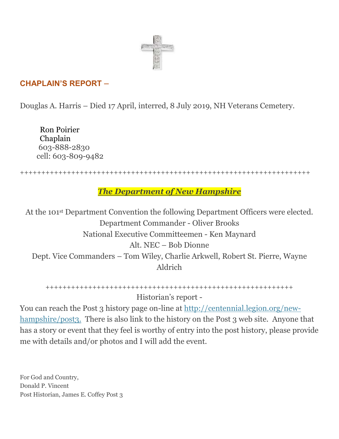

# **CHAPLAIN'S REPORT –**

Douglas A. Harris – Died 17 April, interred, 8 July 2019, NH Veterans Cemetery.

Ron Poirier Chaplain 603-888-2830 cell: 603-809-9482

++++++++++++++++++++++++++++++++++++++++++++++++++++++++++++++++++++

## *The Department of New Hampshire*

At the 101st Department Convention the following Department Officers were elected. Department Commander - Oliver Brooks National Executive Committeemen - Ken Maynard Alt. NEC – Bob Dionne Dept. Vice Commanders – Tom Wiley, Charlie Arkwell, Robert St. Pierre, Wayne Aldrich

++++++++++++++++++++++++++++++++++++++++++++++++++++++++++ Historian's report -

You can reach the Post 3 history page on-line at [http://centennial.legion.org/new](http://centennial.legion.org/new-hampshire/post3.)[hampshire/post3.](http://centennial.legion.org/new-hampshire/post3.) There is also link to the history on the Post 3 web site. Anyone that has a story or event that they feel is worthy of entry into the post history, please provide me with details and/or photos and I will add the event.

For God and Country, Donald P. Vincent Post Historian, James E. Coffey Post 3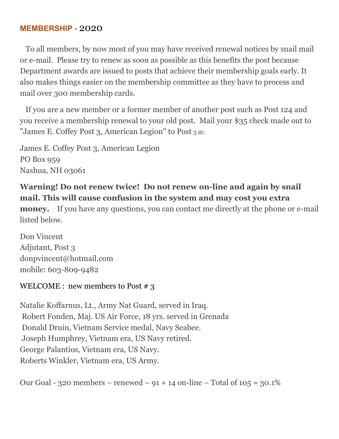## **MEMBERSHIP -** 2020

 To all members, by now most of you may have received renewal notices by snail mail or e-mail. Please try to renew as soon as possible as this benefits the post because Department awards are issued to posts that achieve their membership goals early. It also makes things easier on the membership committee as they have to process and mail over 300 membership cards.

 If you are a new member or a former member of another post such as Post 124 and you receive a membership renewal to your old post. Mail your \$35 check made out to "James E. Coffey Post 3, American Legion" to Post 3 at:

James E. Coffey Post 3, American Legion PO Box 959 Nashua, NH 03061

# **Warning! Do not renew twice! Do not renew on-line and again by snail mail. This will cause confusion in the system and may cost you extra**

**money.** If you have any questions, you can contact me directly at the phone or e-mail listed below.

Don Vincent Adjutant, Post 3 donpvincent@hotmail.com mobile: 603-809-9482

#### WELCOME : new members to Post  $\#$  3

Natalie Koffarnus, Lt., Army Nat Guard, served in Iraq. Robert Fonden, Maj. US Air Force, 18 yrs. served in Grenada Donald Druin, Vietnam Service medal, Navy Seabee. Joseph Humphrey, Vietnam era, US Navy retired. George Palantios, Vietnam era, US Navy. Roberts Winkler, Vietnam era, US Army.

Our Goal - 320 members – renewed – 91 + 14 on-line – Total of 105 = 30.1%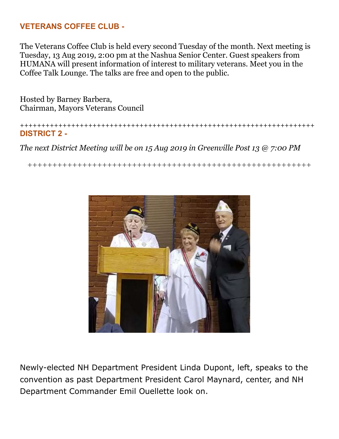## **VETERANS COFFEE CLUB -**

The Veterans Coffee Club is held every second Tuesday of the month. Next meeting is Tuesday, 13 Aug 2019, 2:00 pm at the Nashua Senior Center. Guest speakers from HUMANA will present information of interest to military veterans. Meet you in the Coffee Talk Lounge. The talks are free and open to the public.

Hosted by Barney Barbera, Chairman, Mayors Veterans Council

+++++++++++++++++++++++++++++++++++++++++++++++++++++++++++++++++++++ **DISTRICT 2 -**

*The next District Meeting will be on 15 Aug 2019 in Greenville Post 13 @ 7:00 PM*

+++++++++++++++++++++++++++++++++++++++++++++++++++++++++



Newly-elected NH Department President Linda Dupont, left, speaks to the convention as past Department President Carol Maynard, center, and NH Department Commander Emil Ouellette look on.